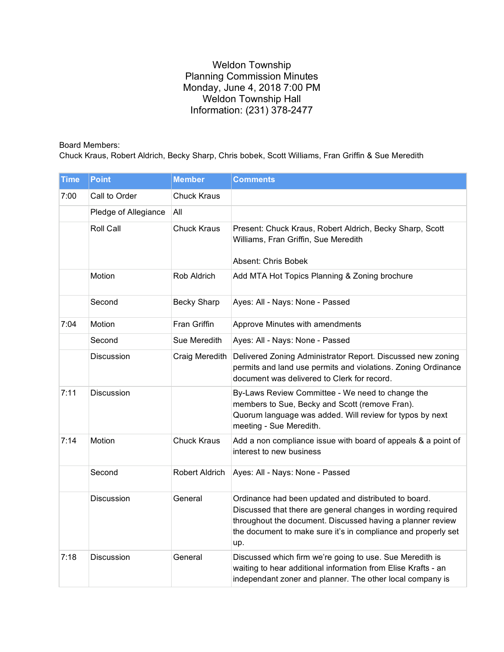## Weldon Township Planning Commission Minutes Monday, June 4, 2018 7:00 PM Weldon Township Hall Information: (231) 378-2477

Board Members:

Chuck Kraus, Robert Aldrich, Becky Sharp, Chris bobek, Scott Williams, Fran Griffin & Sue Meredith

| <b>Time</b> | <b>Point</b>         | <b>Member</b>      | <b>Comments</b>                                                                                                                                                                                                                                            |
|-------------|----------------------|--------------------|------------------------------------------------------------------------------------------------------------------------------------------------------------------------------------------------------------------------------------------------------------|
| 7:00        | Call to Order        | Chuck Kraus        |                                                                                                                                                                                                                                                            |
|             | Pledge of Allegiance | All                |                                                                                                                                                                                                                                                            |
|             | Roll Call            | <b>Chuck Kraus</b> | Present: Chuck Kraus, Robert Aldrich, Becky Sharp, Scott<br>Williams, Fran Griffin, Sue Meredith<br>Absent: Chris Bobek                                                                                                                                    |
|             | Motion               | Rob Aldrich        | Add MTA Hot Topics Planning & Zoning brochure                                                                                                                                                                                                              |
|             | Second               | <b>Becky Sharp</b> | Ayes: All - Nays: None - Passed                                                                                                                                                                                                                            |
| 7:04        | Motion               | Fran Griffin       | Approve Minutes with amendments                                                                                                                                                                                                                            |
|             | Second               | Sue Meredith       | Ayes: All - Nays: None - Passed                                                                                                                                                                                                                            |
|             | Discussion           | Craig Meredith     | Delivered Zoning Administrator Report. Discussed new zoning<br>permits and land use permits and violations. Zoning Ordinance<br>document was delivered to Clerk for record.                                                                                |
| 7:11        | Discussion           |                    | By-Laws Review Committee - We need to change the<br>members to Sue, Becky and Scott (remove Fran).<br>Quorum language was added. Will review for typos by next<br>meeting - Sue Meredith.                                                                  |
| 7:14        | Motion               | <b>Chuck Kraus</b> | Add a non compliance issue with board of appeals & a point of<br>interest to new business                                                                                                                                                                  |
|             | Second               | Robert Aldrich     | Ayes: All - Nays: None - Passed                                                                                                                                                                                                                            |
|             | Discussion           | General            | Ordinance had been updated and distributed to board.<br>Discussed that there are general changes in wording required<br>throughout the document. Discussed having a planner review<br>the document to make sure it's in compliance and properly set<br>up. |
| 7:18        | Discussion           | General            | Discussed which firm we're going to use. Sue Meredith is<br>waiting to hear additional information from Elise Krafts - an<br>independant zoner and planner. The other local company is                                                                     |